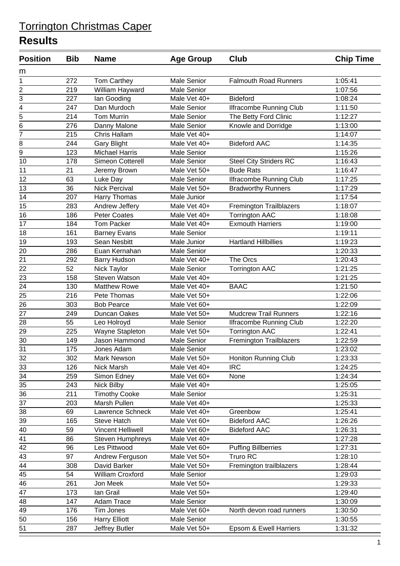| <b>Position</b>             | <b>Bib</b> | <b>Name</b>              | <b>Age Group</b>   | Club                           | <b>Chip Time</b> |
|-----------------------------|------------|--------------------------|--------------------|--------------------------------|------------------|
| m                           |            |                          |                    |                                |                  |
| 1                           | 272        | Tom Carthey              | <b>Male Senior</b> | <b>Falmouth Road Runners</b>   | 1:05:41          |
|                             | 219        | William Hayward          | <b>Male Senior</b> |                                | 1:07:56          |
| $\frac{2}{3}$               | 227        | lan Gooding              | Male Vet 40+       | <b>Bideford</b>                | 1:08:24          |
|                             | 247        | Dan Murdoch              | <b>Male Senior</b> | <b>Ilfracombe Running Club</b> | 1:11:50          |
| $\frac{4}{5}$ $\frac{5}{6}$ | 214        | <b>Tom Murrin</b>        | Male Senior        | The Betty Ford Clinic          | 1:12:27          |
|                             | 276        | Danny Malone             | <b>Male Senior</b> | Knowle and Dorridge            | 1:13:00          |
| $\overline{7}$              | 215        | Chris Hallam             | Male Vet 40+       |                                | 1:14:07          |
| 8                           | 244        | <b>Gary Blight</b>       | Male Vet 40+       | <b>Bideford AAC</b>            | 1:14:35          |
| $\overline{9}$              | 123        | <b>Michael Harris</b>    | <b>Male Senior</b> |                                | 1:15:26          |
| 10                          | 178        | Simeon Cotterell         | Male Senior        | <b>Steel City Striders RC</b>  | 1:16:43          |
| 11                          | 21         | Jeremy Brown             | Male Vet 50+       | <b>Bude Rats</b>               | 1:16:47          |
| 12                          | 63         | Luke Day                 | <b>Male Senior</b> | <b>Ilfracombe Running Club</b> | 1:17:25          |
| 13                          | 36         | <b>Nick Percival</b>     | Male Vet 50+       | <b>Bradworthy Runners</b>      | 1:17:29          |
| 14                          | 207        | Harry Thomas             | Male Junior        |                                | 1:17:54          |
| 15                          | 283        | Andrew Jeffery           | Male Vet 40+       | <b>Fremington Trailblazers</b> | 1:18:07          |
| 16                          | 186        | <b>Peter Coates</b>      | Male Vet 40+       | <b>Torrington AAC</b>          | 1:18:08          |
| 17                          | 184        | <b>Tom Packer</b>        | Male Vet 40+       | <b>Exmouth Harriers</b>        | 1:19:00          |
| 18                          | 161        | <b>Barney Evans</b>      | <b>Male Senior</b> |                                | 1:19:11          |
| 19                          | 193        | Sean Nesbitt             | Male Junior        | <b>Hartland Hillbillies</b>    | 1:19:23          |
| 20                          | 286        | Euan Kernahan            | <b>Male Senior</b> |                                | 1:20:33          |
| $\overline{21}$             | 292        | <b>Barry Hudson</b>      | Male Vet 40+       | The Orcs                       | 1:20:43          |
| 22                          | 52         | Nick Taylor              | <b>Male Senior</b> | <b>Torrington AAC</b>          | 1:21:25          |
| 23                          | 158        | Steven Watson            | Male Vet 40+       |                                | 1:21:25          |
| 24                          | 130        | <b>Matthew Rowe</b>      | Male Vet 40+       | <b>BAAC</b>                    | 1:21:50          |
| 25                          | 216        | Pete Thomas              | Male Vet 50+       |                                | 1:22:06          |
| 26                          | 303        | <b>Bob Pearce</b>        | Male Vet 60+       |                                | 1:22:09          |
| 27                          | 249        | Duncan Oakes             | Male Vet 50+       | <b>Mudcrew Trail Runners</b>   | 1:22:16          |
| 28                          | 55         | Leo Holroyd              | Male Senior        | <b>Ilfracombe Running Club</b> | 1:22:20          |
| 29                          | 225        | Wayne Stapleton          | Male Vet 50+       | <b>Torrington AAC</b>          | 1:22:41          |
| 30                          | 149        | <b>Jason Hammond</b>     | <b>Male Senior</b> | <b>Fremington Trailblazers</b> | 1:22:59          |
| 31                          | 175        | Jones Adam               | <b>Male Senior</b> |                                | 1:23:02          |
| 32                          | 302        | Mark Newson              | Male Vet 50+       | Honiton Running Club           | 1:23:33          |
| 33                          | 126        | Nick Marsh               | Male Vet 40+       | <b>IRC</b>                     | 1:24:25          |
| 34                          | 259        | Simon Edney              | Male Vet 60+       | None                           | 1:24:34          |
| $\overline{35}$             | 243        | <b>Nick Bilby</b>        | Male Vet 40+       |                                | 1:25:05          |
| 36                          | 211        | <b>Timothy Cooke</b>     | Male Senior        |                                | 1:25:31          |
| $\overline{37}$             | 203        | Marsh Pullen             | Male Vet 40+       |                                | 1:25:33          |
| 38                          | 69         | Lawrence Schneck         | Male Vet 40+       | Greenbow                       | 1:25:41          |
| 39                          | 165        | Steve Hatch              | Male Vet 60+       | <b>Bideford AAC</b>            | 1:26:26          |
| 40                          | 59         | <b>Vincent Helliwell</b> | Male Vet 60+       | <b>Bideford AAC</b>            | 1:26:31          |
| 41                          | 86         | Steven Humphreys         | Male Vet 40+       |                                | 1:27:28          |
| 42                          | 96         | Les Pittwood             | Male Vet 60+       | <b>Puffing Billberries</b>     | 1:27:31          |
| 43                          | 97         | Andrew Ferguson          | Male Vet 50+       | Truro RC                       | 1:28:10          |
| 44                          | 308        | David Barker             | Male Vet 50+       | Fremington trailblazers        | 1:28:44          |
| 45                          | 54         | William Croxford         | Male Senior        |                                | 1:29:03          |
| $\overline{46}$             | 261        | Jon Meek                 | Male Vet 50+       |                                | 1:29:33          |
| 47                          | 173        | lan Grail                | Male Vet 50+       |                                | 1:29:40          |
| 48                          | 147        | Adam Trace               | Male Senior        |                                | 1:30:09          |
| 49                          | 176        | Tim Jones                | Male Vet 60+       | North devon road runners       | 1:30:50          |
| 50                          | 156        | <b>Harry Elliott</b>     | Male Senior        |                                | 1:30:55          |
| 51                          | 287        | Jeffrey Butler           | Male Vet 50+       | Epsom & Ewell Harriers         | 1:31:32          |
|                             |            |                          |                    |                                |                  |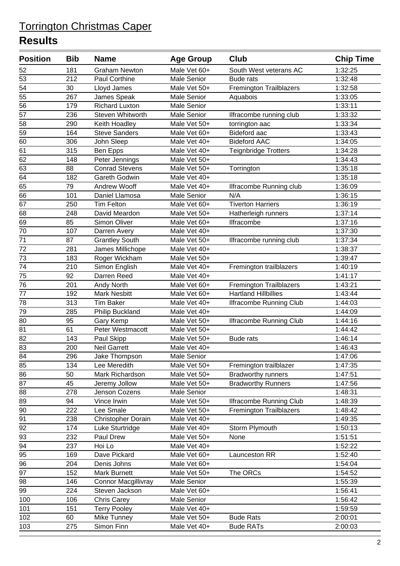| <b>Position</b> | <b>Bib</b> | <b>Name</b>                | <b>Age Group</b>   | <b>Club</b>                    | <b>Chip Time</b> |
|-----------------|------------|----------------------------|--------------------|--------------------------------|------------------|
| 52              | 181        | <b>Graham Newton</b>       | Male Vet 60+       | South West veterans AC         | 1:32:25          |
| 53              | 212        | Paul Corthine              | Male Senior        | <b>Bude rats</b>               | 1:32:48          |
| 54              | 30         | Lloyd James                | Male Vet 50+       | <b>Fremington Trailblazers</b> | 1:32:58          |
| 55              | 267        | James Speak                | <b>Male Senior</b> | Aquabois                       | 1:33:05          |
| 56              | 179        | <b>Richard Luxton</b>      | <b>Male Senior</b> |                                | 1:33:11          |
| $\overline{57}$ | 236        | Steven Whitworth           | Male Senior        | Ilfracombe running club        | 1:33:32          |
| 58              | 290        | Keith Hoadley              | Male Vet 50+       | torrington aac                 | 1:33:34          |
| 59              | 164        | <b>Steve Sanders</b>       | Male Vet 60+       | Bideford aac                   | 1:33:43          |
| 60              | 306        | John Sleep                 | Male Vet 40+       | <b>Bideford AAC</b>            | 1:34:05          |
| 61              | 315        | Ben Epps                   | Male Vet 40+       | Teignbridge Trotters           | 1:34:28          |
| 62              | 148        | Peter Jennings             | Male Vet 50+       |                                | 1:34:43          |
| 63              | 88         | <b>Conrad Stevens</b>      | Male Vet 50+       | Torrington                     | 1:35:18          |
| 64              | 182        | Gareth Godwin              | Male Vet 40+       |                                | 1:35:18          |
| 65              | 79         | Andrew Wooff               | Male Vet 40+       | Ilfracombe Running club        | 1:36:09          |
| 66              | 101        | Daniel Llamosa             | <b>Male Senior</b> | N/A                            | 1:36:15          |
| 67              | 250        | <b>Tim Felton</b>          | Male Vet 60+       | <b>Tiverton Harriers</b>       | 1:36:19          |
| 68              | 248        | David Meardon              | Male Vet 50+       | Hatherleigh runners            | 1:37:14          |
| 69              | 85         | Simon Oliver               | Male Vet 60+       | Ilfracombe                     | 1:37:16          |
| 70              | 107        | Darren Avery               | Male Vet 40+       |                                | 1:37:30          |
| 71              | 87         | <b>Grantley South</b>      | Male Vet 50+       | Ilfracombe running club        | 1:37:34          |
| 72              | 281        | James Millichope           | Male Vet 40+       |                                | 1:38:37          |
| 73              | 183        | Roger Wickham              | Male Vet 50+       |                                | 1:39:47          |
| $\overline{74}$ | 210        | Simon English              | Male Vet 40+       | Fremington trailblazers        | 1:40:19          |
| 75              | 92         | Darren Reed                | Male Vet 40+       |                                | 1:41:17          |
| 76              | 201        | Andy North                 | Male Vet 60+       | <b>Fremington Trailblazers</b> | 1:43:21          |
| 77              | 192        | <b>Mark Nesbitt</b>        | Male Vet 60+       | <b>Hartland Hillbillies</b>    | 1:43:44          |
| 78              | 313        | <b>Tim Baker</b>           | Male Vet 40+       | <b>Ilfracombe Running Club</b> | 1:44:03          |
| 79              | 285        | Philip Buckland            | Male Vet 40+       |                                | 1:44:09          |
| 80              | 95         | Gary Kemp                  | Male Vet 50+       | <b>Ilfracombe Running Club</b> | 1:44:16          |
| 81              | 61         | Peter Westmacott           | Male Vet 50+       |                                | 1:44:42          |
| 82              | 143        | Paul Skipp                 | Male Vet 50+       | <b>Bude rats</b>               | 1:46:14          |
| 83              | 200        | <b>Neil Garrett</b>        | Male Vet 40+       |                                | 1:46:43          |
| 84              | 296        | Jake Thompson              | Male Senior        |                                | 1:47:06          |
| 85              | 134        | Lee Meredith               | Male Vet 50+       | Fremington trailblazer         | 1:47:35          |
| 86              | 50         | Mark Richardson            | Male Vet 50+       | <b>Bradworthy runners</b>      | 1:47:51          |
| 87              | 45         | Jeremy Jollow              | Male Vet 50+       | <b>Bradworthy Runners</b>      | 1:47:56          |
| 88              | 278        | Jenson Cozens              | Male Senior        |                                | 1:48:31          |
| 89              | 94         | Vince Irwin                | Male Vet 50+       | <b>Ilfracombe Running Club</b> | 1:48:39          |
| 90              | 222        | Lee Smale                  | Male Vet 50+       | <b>Fremington Trailblazers</b> | 1:48:42          |
| 91              | 238        | Christopher Dorain         | Male Vet 40+       |                                | 1:49:35          |
| 92              | 174        | Luke Sturtridge            | Male Vet 40+       | Storm Plymouth                 | 1:50:13          |
| 93              | 232        | Paul Drew                  | Male Vet 50+       | None                           | 1:51:51          |
| 94              | 237        | Hoi Lo                     | Male Vet 40+       |                                | 1:52:22          |
| 95              | 169        | Dave Pickard               | Male Vet 60+       | Launceston RR                  | 1:52:40          |
| 96              | 204        | Denis Johns                | Male Vet 60+       |                                | 1:54:04          |
| $\overline{97}$ | 152        | <b>Mark Burnett</b>        | Male Vet 50+       | The ORCs                       | 1:54:52          |
| 98              | 146        | <b>Connor Macgillivray</b> | Male Senior        |                                | 1:55:39          |
| 99              | 224        | Steven Jackson             | Male Vet 60+       |                                | 1:56:41          |
| 100             | 106        | Chris Carey                | Male Senior        |                                | 1:56:42          |
| 101             | 151        | <b>Terry Pooley</b>        | Male Vet 40+       |                                | 1:59:59          |
| 102             | 60         | Mike Tunney                | Male Vet 50+       | <b>Bude Rats</b>               | 2:00:01          |
| 103             | 275        | Simon Finn                 | Male Vet 40+       | <b>Bude RATs</b>               | 2:00:03          |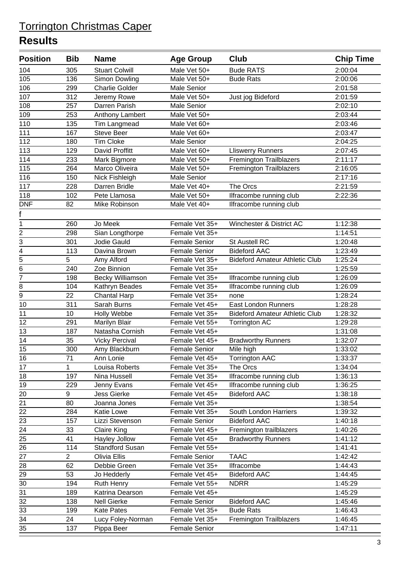| <b>Position</b> | <b>Bib</b>            | <b>Name</b>                           | <b>Age Group</b>                       | <b>Club</b>                           | <b>Chip Time</b>   |
|-----------------|-----------------------|---------------------------------------|----------------------------------------|---------------------------------------|--------------------|
| 104             | 305                   | <b>Stuart Colwill</b>                 | Male Vet 50+                           | <b>Bude RATS</b>                      | 2:00:04            |
| 105             | 136                   | Simon Dowling                         | Male Vet 50+                           | <b>Bude Rats</b>                      | 2:00:06            |
| 106             | 299                   | <b>Charlie Golder</b>                 | Male Senior                            |                                       | 2:01:58            |
| 107             | 312                   | Jeremy Rowe                           | Male Vet 50+                           | Just jog Bideford                     | 2:01:59            |
| 108             | 257                   | Darren Parish                         | Male Senior                            |                                       | 2:02:10            |
| 109             | 253                   | Anthony Lambert                       | Male Vet 50+                           |                                       | 2:03:44            |
| 110             | 135                   | <b>Tim Langmead</b>                   | Male Vet 60+                           |                                       | 2:03:46            |
| 111             | 167                   | <b>Steve Beer</b>                     | Male Vet 60+                           |                                       | 2:03:47            |
| 112             | 180                   | <b>Tim Cloke</b>                      | <b>Male Senior</b>                     |                                       | 2:04:25            |
| 113             | 129                   | David Proffitt                        | Male Vet 60+                           | <b>Lliswerry Runners</b>              | 2:07:45            |
| 114             | 233                   | Mark Bigmore                          | Male Vet 50+                           | <b>Fremington Trailblazers</b>        | 2:11:17            |
| 115             | 264                   | Marco Oliveira                        | Male Vet 50+                           | <b>Fremington Trailblazers</b>        | 2:16:05            |
| 116             | 150                   | Nick Fishleigh                        | Male Senior                            |                                       | 2:17:16            |
| 117             | 228                   | Darren Bridle                         | Male Vet 40+                           | The Orcs                              | 2:21:59            |
| 118             | 102                   | Pete Llamosa                          | Male Vet 50+                           | Ilfracombe running club               | 2:22:36            |
| <b>DNF</b>      | 82                    | Mike Robinson                         | Male Vet 40+                           | Ilfracombe running club               |                    |
| f               |                       |                                       |                                        |                                       |                    |
| 1               | 260                   | Jo Meek                               | Female Vet 35+                         | Winchester & District AC              | 1:12:38            |
|                 | 298                   | Sian Longthorpe                       | Female Vet 35+                         |                                       | 1:14:51            |
| $\frac{2}{3}$   | 301                   | Jodie Gauld                           | <b>Female Senior</b>                   | St Austell RC                         | 1:20:48            |
| $\overline{4}$  | 113                   | Davina Brown                          | <b>Female Senior</b>                   | <b>Bideford AAC</b>                   | 1:23:49            |
| $\overline{5}$  | 5                     | Amy Alford                            | Female Vet 35+                         | <b>Bideford Amateur Athletic Club</b> | 1:25:24            |
| 6               | 240                   | Zoe Binnion                           | Female Vet 35+                         |                                       | 1:25:59            |
| $\overline{7}$  | 198                   | <b>Becky Williamson</b>               | Female Vet 35+                         | Ilfracombe running club               | 1:26:09            |
| 8               | 104                   | Kathryn Beades                        | Female Vet 35+                         | Ilfracombe running club               | 1:26:09            |
| $\overline{9}$  | 22                    | Chantal Harp                          | Female Vet 35+                         | none                                  | 1:28:24            |
| 10              | 311                   | Sarah Burns                           | Female Vet 45+                         | <b>East London Runners</b>            | 1:28:28            |
| 11              | 10                    | Holly Webbe                           | Female Vet 35+                         | <b>Bideford Amateur Athletic Club</b> | 1:28:32            |
| 12              | 291                   | Marilyn Blair                         | Female Vet 55+                         | <b>Torrington AC</b>                  | 1:29:28            |
| 13              | 187                   | Natasha Cornish                       | Female Vet 45+                         |                                       | 1:31:08            |
| 14              | 35                    | <b>Vicky Percival</b>                 | Female Vet 45+                         | <b>Bradworthy Runners</b>             | 1:32:07            |
| 15              | 300                   | Amy Blackburn                         | <b>Female Senior</b>                   | Mile high                             | 1:33:02            |
| 16              | 71                    | Ann Lonie                             | Female Vet 45+                         | <b>Torrington AAC</b>                 | 1:33:37            |
| 17              | 1                     | Louisa Roberts                        | Female Vet 35+                         | The Orcs                              | 1:34:04            |
| 18              | 197                   | Nina Hussell                          | Female Vet 35+                         | Ilfracombe running club               | 1:36:13            |
| 19              | 229                   | Jenny Evans                           | Female Vet 45+                         | Ilfracombe running club               | 1:36:25            |
| 20              | 9                     | <b>Jess Gierke</b>                    | Female Vet 45+                         | <b>Bideford AAC</b>                   | 1:38:18            |
| 21              | 80                    | Joanna Jones                          | Female Vet 35+                         |                                       | 1:38:54            |
| 22              | 284                   | Katie Lowe                            | Female Vet 35+                         | South London Harriers                 | 1:39:32            |
| $\overline{23}$ | 157                   | Lizzi Stevenson                       | <b>Female Senior</b>                   | <b>Bideford AAC</b>                   | 1:40:18            |
| 24              | 33                    | <b>Claire King</b>                    | Female Vet 45+                         | Fremington trailblazers               | 1:40:26            |
| 25              | 41                    | Hayley Jollow                         | Female Vet 45+                         | <b>Bradworthy Runners</b>             | 1:41:12            |
| 26              | 114<br>$\overline{2}$ | <b>Standford Susan</b>                | Female Vet 55+                         |                                       | 1:41:41            |
| $\overline{27}$ |                       | Olivia Ellis                          | <b>Female Senior</b>                   | <b>TAAC</b>                           | 1:42:42            |
| 28              | 62                    | Debbie Green                          | Female Vet 35+                         | Ilfracombe                            | 1:44:43            |
| 29<br>30        | 53<br>194             | Jo Hedderly                           | Female Vet 45+<br>Female Vet 55+       | <b>Bideford AAC</b><br><b>NDRR</b>    | 1:44:45<br>1:45:29 |
|                 |                       | Ruth Henry                            |                                        |                                       |                    |
| 31<br>32        | 189<br>138            | Katrina Dearson<br><b>Nell Gierke</b> | Female Vet 45+<br><b>Female Senior</b> | <b>Bideford AAC</b>                   | 1:45:29<br>1:45:46 |
| 33              | 199                   | <b>Kate Pates</b>                     | Female Vet 35+                         | <b>Bude Rats</b>                      | 1:46:43            |
| 34              | 24                    | Lucy Foley-Norman                     | Female Vet 35+                         | <b>Fremington Trailblazers</b>        | 1:46:45            |
| 35              | 137                   | Pippa Beer                            | <b>Female Senior</b>                   |                                       | 1:47:11            |
|                 |                       |                                       |                                        |                                       |                    |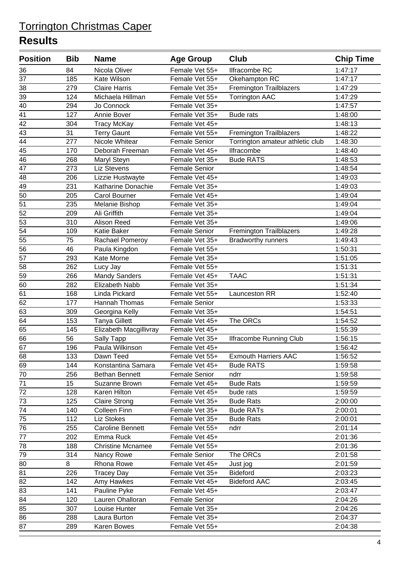| <b>Position</b> | <b>Bib</b> | <b>Name</b>              | <b>Age Group</b>     | <b>Club</b>                      | <b>Chip Time</b> |
|-----------------|------------|--------------------------|----------------------|----------------------------------|------------------|
| 36              | 84         | Nicola Oliver            | Female Vet 55+       | Ilfracombe RC                    | 1:47:17          |
| 37              | 185        | Kate Wilson              | Female Vet 55+       | Okehampton RC                    | 1:47:17          |
| 38              | 279        | <b>Claire Harris</b>     | Female Vet 35+       | <b>Fremington Trailblazers</b>   | 1:47:29          |
| 39              | 124        | Michaela Hillman         | Female Vet 55+       | <b>Torrington AAC</b>            | 1:47:29          |
| 40              | 294        | Jo Connock               | Female Vet 35+       |                                  | 1:47:57          |
| 41              | 127        | Annie Bover              | Female Vet 35+       | <b>Bude rats</b>                 | 1:48:00          |
| 42              | 304        | <b>Tracy McKay</b>       | Female Vet 45+       |                                  | 1:48:13          |
| 43              | 31         | <b>Terry Gaunt</b>       | Female Vet 55+       | Fremington Trailblazers          | 1:48:22          |
| 44              | 277        | Nicole Whitear           | Female Senior        | Torrington amateur athletic club | 1:48:30          |
| 45              | 170        | Deborah Freeman          | Female Vet 45+       | <b>Ilfracombe</b>                | 1:48:40          |
| 46              | 268        | Maryl Steyn              | Female Vet 35+       | <b>Bude RATS</b>                 | 1:48:53          |
| 47              | 273        | <b>Liz Stevens</b>       | Female Senior        |                                  | 1:48:54          |
| 48              | 206        | Lizzie Hustwayte         | Female Vet 45+       |                                  | 1:49:03          |
| 49              | 231        | Katharine Donachie       | Female Vet 35+       |                                  | 1:49:03          |
| 50              | 205        | Carol Bourner            | Female Vet 45+       |                                  | 1:49:04          |
| 51              | 235        | Melanie Bishop           | Female Vet 35+       |                                  | 1:49:04          |
| 52              | 209        | Ali Griffith             | Female Vet 35+       |                                  | 1:49:04          |
| 53              | 310        | Alison Reed              | Female Vet 35+       |                                  | 1:49:06          |
| $\overline{54}$ | 109        | <b>Katie Baker</b>       | Female Senior        | Fremington Trailblazers          | 1:49:28          |
| 55              | 75         | Rachael Pomeroy          | Female Vet 35+       | <b>Bradworthy runners</b>        | 1:49:43          |
| 56              | 46         | Paula Kingdon            | Female Vet 55+       |                                  | 1:50:31          |
| 57              | 293        | Kate Morne               | Female Vet 35+       |                                  | 1:51:05          |
| 58              | 262        | Lucy Jay                 | Female Vet 55+       |                                  | 1:51:31          |
| 59              | 266        | <b>Mandy Sanders</b>     | Female Vet 45+       | <b>TAAC</b>                      | 1:51:31          |
| 60              | 282        | Elizabeth Nabb           | Female Vet 35+       |                                  | 1:51:34          |
| 61              | 168        | Linda Pickard            | Female Vet 55+       | Launceston RR                    | 1:52:40          |
| 62              | 177        | Hannah Thomas            | <b>Female Senior</b> |                                  | 1:53:33          |
| 63              | 309        | Georgina Kelly           | Female Vet 35+       |                                  | 1:54:51          |
| 64              | 153        | <b>Tanya Gillett</b>     | Female Vet 45+       | The ORCs                         | 1:54:52          |
| 65              | 145        | Elizabeth Macgillivray   | Female Vet 45+       |                                  | 1:55:39          |
| 66              | 56         | Sally Tapp               | Female Vet 35+       | <b>Ilfracombe Running Club</b>   | 1:56:15          |
| $\overline{67}$ | 196        | Paula Wilkinson          | Female Vet 45+       |                                  | 1:56:42          |
| 68              | 133        | Dawn Teed                | Female Vet 55+       | <b>Exmouth Harriers AAC</b>      | 1:56:52          |
| 69              | 144        | Konstantina Samara       | Female Vet 45+       | <b>Bude RATS</b>                 | 1:59:58          |
| 70              | 256        | <b>Bethan Bennett</b>    | Female Senior        | ndrr                             | 1:59:58          |
| 71              | 15         | Suzanne Brown            | Female Vet 45+       | <b>Bude Rats</b>                 | 1:59:59          |
| 72              | 128        | Karen Hilton             | Female Vet 45+       | bude rats                        | 1:59:59          |
| 73              | 125        | <b>Claire Strong</b>     | Female Vet 35+       | <b>Bude Rats</b>                 | 2:00:00          |
| 74              | 140        | Colleen Finn             | Female Vet 35+       | <b>Bude RATs</b>                 | 2:00:01          |
| 75              | 112        | Liz Stokes               | Female Vet 35+       | <b>Bude Rats</b>                 | 2:00:01          |
| $\overline{76}$ | 255        | <b>Caroline Bennett</b>  | Female Vet 55+       | ndrr                             | 2:01:14          |
| 77              | 202        | Emma Ruck                | Female Vet 45+       |                                  | 2:01:36          |
| 78              | 188        | <b>Christine Mcnamee</b> | Female Vet 55+       |                                  | 2:01:36          |
| 79              | 314        | Nancy Rowe               | Female Senior        | The ORCs                         | 2:01:58          |
| 80              | 8          | Rhona Rowe               | Female Vet 45+       | Just jog                         | 2:01:59          |
| 81              | 226        | <b>Tracey Day</b>        | Female Vet 35+       | <b>Bideford</b>                  | 2:03:23          |
| 82              | 142        | Amy Hawkes               | Female Vet 45+       | <b>Bideford AAC</b>              | 2:03:45          |
| 83              | 141        | Pauline Pyke             | Female Vet 45+       |                                  | 2:03:47          |
| 84              | 120        | Lauren Ohalloran         | <b>Female Senior</b> |                                  | 2:04:26          |
| 85              | 307        | Louise Hunter            | Female Vet 35+       |                                  | 2:04:26          |
| 86              | 288        | Laura Burton             | Female Vet 35+       |                                  | 2:04:37          |
| 87              | 289        | Karen Bowes              | Female Vet 55+       |                                  | 2:04:38          |